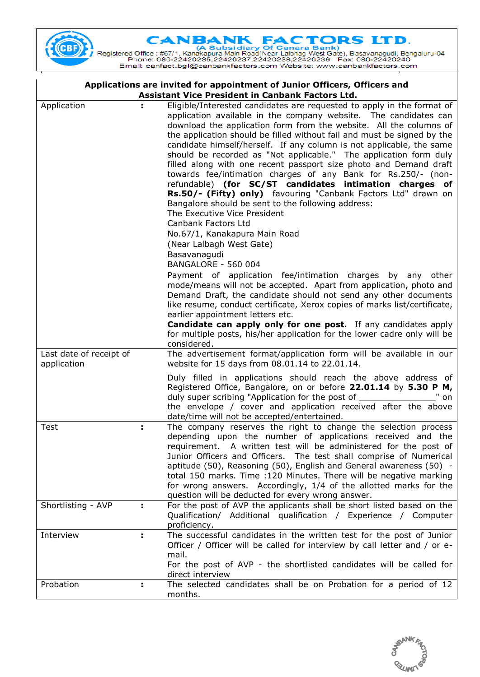

(A Subsidiary Of Canara Bank)<br>Registered Office : #67/1, Kanakapura Main Road(Near Lalbhag West Gate), Basavanagudi, Bengaluru-04<br>Email: canfact.bgl@canbankfactors.com Website: www.canbankfactors.com

|                                        |    | Applications are invited for appointment of Junior Officers, Officers and<br><b>Assistant Vice President in Canbank Factors Ltd.</b>                                                                                                                                                                                                                                                                                                                                                                                                                                                                                                                                                                                                                                                                                                                                                                                                                                                                                                                                                                                                                                                                                                                                                                                                                                                                                            |
|----------------------------------------|----|---------------------------------------------------------------------------------------------------------------------------------------------------------------------------------------------------------------------------------------------------------------------------------------------------------------------------------------------------------------------------------------------------------------------------------------------------------------------------------------------------------------------------------------------------------------------------------------------------------------------------------------------------------------------------------------------------------------------------------------------------------------------------------------------------------------------------------------------------------------------------------------------------------------------------------------------------------------------------------------------------------------------------------------------------------------------------------------------------------------------------------------------------------------------------------------------------------------------------------------------------------------------------------------------------------------------------------------------------------------------------------------------------------------------------------|
| Application                            |    | Eligible/Interested candidates are requested to apply in the format of<br>application available in the company website. The candidates can<br>download the application form from the website. All the columns of<br>the application should be filled without fail and must be signed by the<br>candidate himself/herself. If any column is not applicable, the same<br>should be recorded as "Not applicable." The application form duly<br>filled along with one recent passport size photo and Demand draft<br>towards fee/intimation charges of any Bank for Rs.250/- (non-<br>refundable) (for SC/ST candidates intimation charges of<br>Rs.50/- (Fifty) only) favouring "Canbank Factors Ltd" drawn on<br>Bangalore should be sent to the following address:<br>The Executive Vice President<br>Canbank Factors Ltd<br>No.67/1, Kanakapura Main Road<br>(Near Lalbagh West Gate)<br>Basavanagudi<br><b>BANGALORE - 560 004</b><br>Payment of application fee/intimation charges by any other<br>mode/means will not be accepted. Apart from application, photo and<br>Demand Draft, the candidate should not send any other documents<br>like resume, conduct certificate, Xerox copies of marks list/certificate,<br>earlier appointment letters etc.<br><b>Candidate can apply only for one post.</b> If any candidates apply<br>for multiple posts, his/her application for the lower cadre only will be<br>considered. |
| Last date of receipt of<br>application |    | The advertisement format/application form will be available in our<br>website for 15 days from 08.01.14 to 22.01.14.                                                                                                                                                                                                                                                                                                                                                                                                                                                                                                                                                                                                                                                                                                                                                                                                                                                                                                                                                                                                                                                                                                                                                                                                                                                                                                            |
|                                        |    | Duly filled in applications should reach the above address of<br>Registered Office, Bangalore, on or before 22.01.14 by 5.30 P M,<br>duly super scribing "Application for the post of<br>on<br>the envelope / cover and application received after the above<br>date/time will not be accepted/entertained.                                                                                                                                                                                                                                                                                                                                                                                                                                                                                                                                                                                                                                                                                                                                                                                                                                                                                                                                                                                                                                                                                                                     |
| <b>Test</b>                            | ÷. | The company reserves the right to change the selection process<br>depending upon the number of applications received and the<br>requirement. A written test will be administered for the post of<br>Junior Officers and Officers. The test shall comprise of Numerical<br>aptitude (50), Reasoning (50), English and General awareness (50) -<br>total 150 marks. Time : 120 Minutes. There will be negative marking<br>for wrong answers. Accordingly, 1/4 of the allotted marks for the<br>question will be deducted for every wrong answer.                                                                                                                                                                                                                                                                                                                                                                                                                                                                                                                                                                                                                                                                                                                                                                                                                                                                                  |
| Shortlisting - AVP                     | ÷. | For the post of AVP the applicants shall be short listed based on the<br>Qualification/ Additional qualification / Experience / Computer<br>proficiency.                                                                                                                                                                                                                                                                                                                                                                                                                                                                                                                                                                                                                                                                                                                                                                                                                                                                                                                                                                                                                                                                                                                                                                                                                                                                        |
| Interview                              | ÷. | The successful candidates in the written test for the post of Junior<br>Officer / Officer will be called for interview by call letter and / or e-<br>mail.<br>For the post of AVP - the shortlisted candidates will be called for<br>direct interview                                                                                                                                                                                                                                                                                                                                                                                                                                                                                                                                                                                                                                                                                                                                                                                                                                                                                                                                                                                                                                                                                                                                                                           |
| Probation                              | ÷. | The selected candidates shall be on Probation for a period of 12<br>months.                                                                                                                                                                                                                                                                                                                                                                                                                                                                                                                                                                                                                                                                                                                                                                                                                                                                                                                                                                                                                                                                                                                                                                                                                                                                                                                                                     |

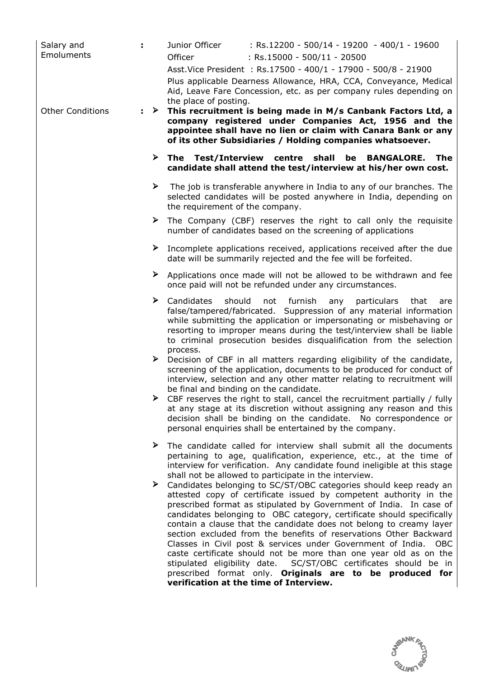| Salary and<br>Emoluments | ÷. |   | : Rs.12200 - 500/14 - 19200 - 400/1 - 19600<br>Junior Officer<br>Officer<br>: Rs.15000 - 500/11 - 20500<br>Asst. Vice President: Rs. 17500 - 400/1 - 17900 - 500/8 - 21900<br>Plus applicable Dearness Allowance, HRA, CCA, Conveyance, Medical<br>Aid, Leave Fare Concession, etc. as per company rules depending on<br>the place of posting.                                                                                                                                                                                                                                                                                                                                                                                                                                                              |
|--------------------------|----|---|-------------------------------------------------------------------------------------------------------------------------------------------------------------------------------------------------------------------------------------------------------------------------------------------------------------------------------------------------------------------------------------------------------------------------------------------------------------------------------------------------------------------------------------------------------------------------------------------------------------------------------------------------------------------------------------------------------------------------------------------------------------------------------------------------------------|
| <b>Other Conditions</b>  |    |   | : $\triangleright$ This recruitment is being made in M/s Canbank Factors Ltd, a<br>company registered under Companies Act, 1956 and the<br>appointee shall have no lien or claim with Canara Bank or any<br>of its other Subsidiaries / Holding companies whatsoever.                                                                                                                                                                                                                                                                                                                                                                                                                                                                                                                                       |
|                          |    |   | $\triangleright$ The Test/Interview centre shall be BANGALORE. The<br>candidate shall attend the test/interview at his/her own cost.                                                                                                                                                                                                                                                                                                                                                                                                                                                                                                                                                                                                                                                                        |
|                          |    | ➤ | The job is transferable anywhere in India to any of our branches. The<br>selected candidates will be posted anywhere in India, depending on<br>the requirement of the company.                                                                                                                                                                                                                                                                                                                                                                                                                                                                                                                                                                                                                              |
|                          |    | ➤ | The Company (CBF) reserves the right to call only the requisite<br>number of candidates based on the screening of applications                                                                                                                                                                                                                                                                                                                                                                                                                                                                                                                                                                                                                                                                              |
|                          |    | ➤ | Incomplete applications received, applications received after the due<br>date will be summarily rejected and the fee will be forfeited.                                                                                                                                                                                                                                                                                                                                                                                                                                                                                                                                                                                                                                                                     |
|                          |    | ➤ | Applications once made will not be allowed to be withdrawn and fee<br>once paid will not be refunded under any circumstances.                                                                                                                                                                                                                                                                                                                                                                                                                                                                                                                                                                                                                                                                               |
|                          |    | ➤ | Candidates<br>should<br>furnish<br>not<br>any<br>particulars<br>that<br>are<br>false/tampered/fabricated. Suppression of any material information<br>while submitting the application or impersonating or misbehaving or<br>resorting to improper means during the test/interview shall be liable<br>to criminal prosecution besides disqualification from the selection<br>process.                                                                                                                                                                                                                                                                                                                                                                                                                        |
|                          |    | ➤ | Decision of CBF in all matters regarding eligibility of the candidate,<br>screening of the application, documents to be produced for conduct of<br>interview, selection and any other matter relating to recruitment will<br>be final and binding on the candidate.                                                                                                                                                                                                                                                                                                                                                                                                                                                                                                                                         |
|                          |    |   | $\triangleright$ CBF reserves the right to stall, cancel the recruitment partially / fully<br>at any stage at its discretion without assigning any reason and this<br>decision shall be binding on the candidate. No correspondence or<br>personal enquiries shall be entertained by the company.                                                                                                                                                                                                                                                                                                                                                                                                                                                                                                           |
|                          |    | ➤ | The candidate called for interview shall submit all the documents<br>pertaining to age, qualification, experience, etc., at the time of<br>interview for verification. Any candidate found ineligible at this stage                                                                                                                                                                                                                                                                                                                                                                                                                                                                                                                                                                                         |
|                          |    | ➤ | shall not be allowed to participate in the interview.<br>Candidates belonging to SC/ST/OBC categories should keep ready an<br>attested copy of certificate issued by competent authority in the<br>prescribed format as stipulated by Government of India. In case of<br>candidates belonging to OBC category, certificate should specifically<br>contain a clause that the candidate does not belong to creamy layer<br>section excluded from the benefits of reservations Other Backward<br>Classes in Civil post & services under Government of India. OBC<br>caste certificate should not be more than one year old as on the<br>stipulated eligibility date. SC/ST/OBC certificates should be in<br>prescribed format only. Originals are to be produced for<br>verification at the time of Interview. |

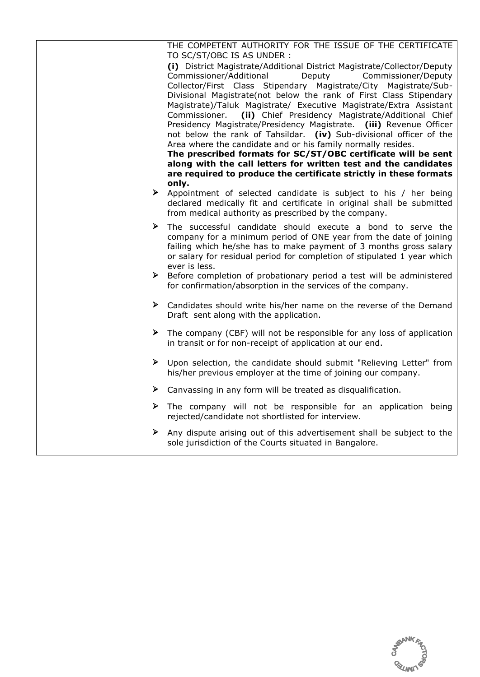THE COMPETENT AUTHORITY FOR THE ISSUE OF THE CERTIFICATE TO SC/ST/OBC IS AS UNDER :

 **(i)** District Magistrate/Additional District Magistrate/Collector/Deputy Commissioner/Additional Deputy Commissioner/Deputy Collector/First Class Stipendary Magistrate/City Magistrate/Sub-Divisional Magistrate(not below the rank of First Class Stipendary Magistrate)/Taluk Magistrate/ Executive Magistrate/Extra Assistant Commissioner. **(ii)** Chief Presidency Magistrate/Additional Chief Presidency Magistrate/Presidency Magistrate. **(iii)** Revenue Officer not below the rank of Tahsildar. **(iv)** Sub-divisional officer of the Area where the candidate and or his family normally resides.

 **The prescribed formats for SC/ST/OBC certificate will be sent along with the call letters for written test and the candidates are required to produce the certificate strictly in these formats only.**

- Appointment of selected candidate is subject to his / her being declared medically fit and certificate in original shall be submitted from medical authority as prescribed by the company.
- $\triangleright$  The successful candidate should execute a bond to serve the company for a minimum period of ONE year from the date of joining failing which he/she has to make payment of 3 months gross salary or salary for residual period for completion of stipulated 1 year which ever is less.
- $\triangleright$  Before completion of probationary period a test will be administered for confirmation/absorption in the services of the company.
- Candidates should write his/her name on the reverse of the Demand Draft sent along with the application.
- $\triangleright$  The company (CBF) will not be responsible for any loss of application in transit or for non-receipt of application at our end.
- $\triangleright$  Upon selection, the candidate should submit "Relieving Letter" from his/her previous employer at the time of joining our company.
- $\triangleright$  Canvassing in any form will be treated as disqualification.
- $\triangleright$  The company will not be responsible for an application being rejected/candidate not shortlisted for interview.
- $\triangleright$  Any dispute arising out of this advertisement shall be subject to the sole jurisdiction of the Courts situated in Bangalore.

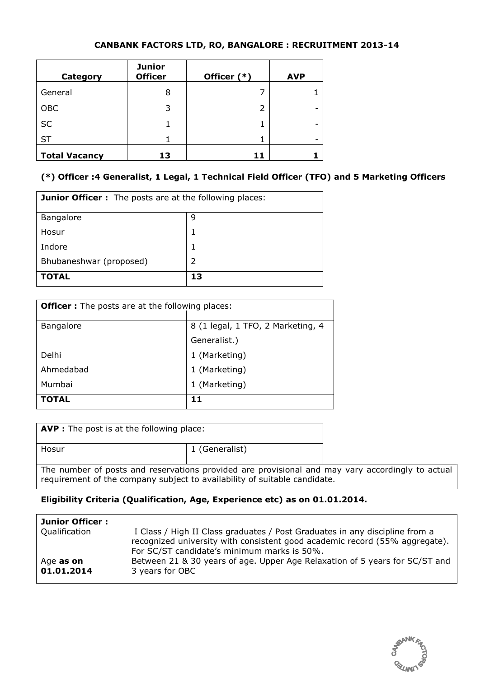## **CANBANK FACTORS LTD, RO, BANGALORE : RECRUITMENT 2013-14**

| Category             | <b>Junior</b><br><b>Officer</b> | Officer (*) | <b>AVP</b> |
|----------------------|---------------------------------|-------------|------------|
| General              | 8                               |             |            |
| <b>OBC</b>           | 3                               | 2           |            |
| <b>SC</b>            |                                 |             |            |
| <b>ST</b>            |                                 |             |            |
| <b>Total Vacancy</b> | 13                              | 11          |            |

## **(\*) Officer :4 Generalist, 1 Legal, 1 Technical Field Officer (TFO) and 5 Marketing Officers**

| <b>Junior Officer :</b> The posts are at the following places: |               |
|----------------------------------------------------------------|---------------|
| Bangalore                                                      | 9             |
| Hosur                                                          | 1             |
| Indore                                                         | 1             |
| Bhubaneshwar (proposed)                                        | $\mathcal{P}$ |
| <b>TOTAL</b>                                                   | 13            |

| <b>Officer</b> : The posts are at the following places: |                                   |  |
|---------------------------------------------------------|-----------------------------------|--|
|                                                         |                                   |  |
| Bangalore                                               | 8 (1 legal, 1 TFO, 2 Marketing, 4 |  |
|                                                         | Generalist.)                      |  |
| Delhi                                                   | 1 (Marketing)                     |  |
| Ahmedabad                                               | 1 (Marketing)                     |  |
| Mumbai                                                  | 1 (Marketing)                     |  |
| <b>TOTAL</b>                                            | 11                                |  |

| <b>AVP</b> : The post is at the following place:                                                                                                                              |                |  |
|-------------------------------------------------------------------------------------------------------------------------------------------------------------------------------|----------------|--|
| Hosur                                                                                                                                                                         | 1 (Generalist) |  |
| The number of posts and reservations provided are provisional and may vary accordingly to actual<br>requirement of the company subject to availability of suitable candidate. |                |  |

## **Eligibility Criteria (Qualification, Age, Experience etc) as on 01.01.2014.**

| Junior Officer:<br>Qualification | I Class / High II Class graduates / Post Graduates in any discipline from a<br>recognized university with consistent good academic record (55% aggregate).<br>For SC/ST candidate's minimum marks is 50%. |
|----------------------------------|-----------------------------------------------------------------------------------------------------------------------------------------------------------------------------------------------------------|
| Age as on                        | Between 21 & 30 years of age. Upper Age Relaxation of 5 years for SC/ST and                                                                                                                               |
| 01.01.2014                       | 3 years for OBC                                                                                                                                                                                           |